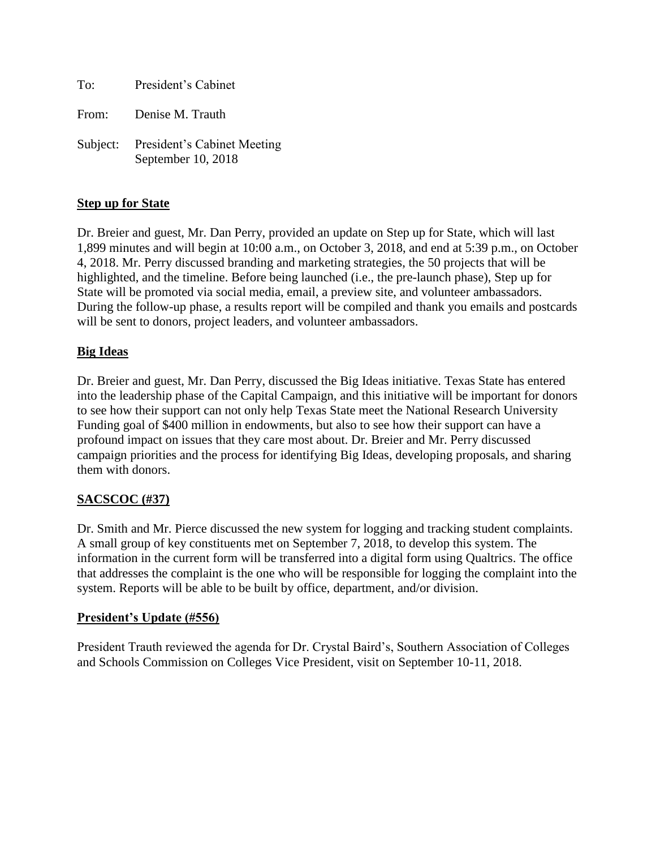| To: | President's Cabinet                                        |
|-----|------------------------------------------------------------|
|     | From: Denise M. Trauth                                     |
|     | Subject: President's Cabinet Meeting<br>September 10, 2018 |

## **Step up for State**

Dr. Breier and guest, Mr. Dan Perry, provided an update on Step up for State, which will last 1,899 minutes and will begin at 10:00 a.m., on October 3, 2018, and end at 5:39 p.m., on October 4, 2018. Mr. Perry discussed branding and marketing strategies, the 50 projects that will be highlighted, and the timeline. Before being launched (i.e., the pre-launch phase), Step up for State will be promoted via social media, email, a preview site, and volunteer ambassadors. During the follow-up phase, a results report will be compiled and thank you emails and postcards will be sent to donors, project leaders, and volunteer ambassadors.

### **Big Ideas**

Dr. Breier and guest, Mr. Dan Perry, discussed the Big Ideas initiative. Texas State has entered into the leadership phase of the Capital Campaign, and this initiative will be important for donors to see how their support can not only help Texas State meet the National Research University Funding goal of \$400 million in endowments, but also to see how their support can have a profound impact on issues that they care most about. Dr. Breier and Mr. Perry discussed campaign priorities and the process for identifying Big Ideas, developing proposals, and sharing them with donors.

# **SACSCOC (#37)**

Dr. Smith and Mr. Pierce discussed the new system for logging and tracking student complaints. A small group of key constituents met on September 7, 2018, to develop this system. The information in the current form will be transferred into a digital form using Qualtrics. The office that addresses the complaint is the one who will be responsible for logging the complaint into the system. Reports will be able to be built by office, department, and/or division.

### **President's Update (#556)**

President Trauth reviewed the agenda for Dr. Crystal Baird's, Southern Association of Colleges and Schools Commission on Colleges Vice President, visit on September 10-11, 2018.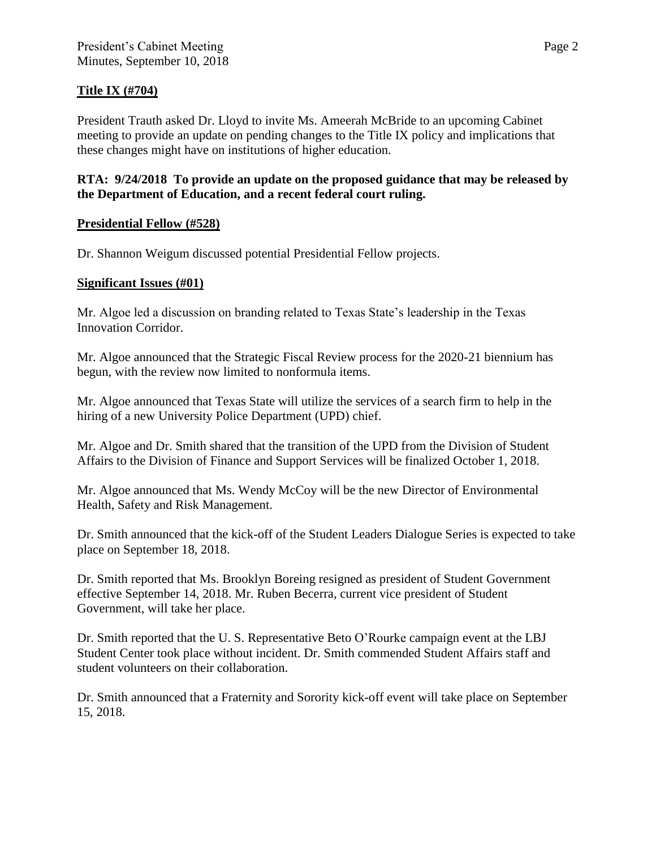# **Title IX (#704)**

President Trauth asked Dr. Lloyd to invite Ms. Ameerah McBride to an upcoming Cabinet meeting to provide an update on pending changes to the Title IX policy and implications that these changes might have on institutions of higher education.

## **RTA: 9/24/2018 To provide an update on the proposed guidance that may be released by the Department of Education, and a recent federal court ruling.**

# **Presidential Fellow (#528)**

Dr. Shannon Weigum discussed potential Presidential Fellow projects.

### **Significant Issues (#01)**

Mr. Algoe led a discussion on branding related to Texas State's leadership in the Texas Innovation Corridor.

Mr. Algoe announced that the Strategic Fiscal Review process for the 2020-21 biennium has begun, with the review now limited to nonformula items.

Mr. Algoe announced that Texas State will utilize the services of a search firm to help in the hiring of a new University Police Department (UPD) chief.

Mr. Algoe and Dr. Smith shared that the transition of the UPD from the Division of Student Affairs to the Division of Finance and Support Services will be finalized October 1, 2018.

Mr. Algoe announced that Ms. Wendy McCoy will be the new Director of Environmental Health, Safety and Risk Management.

Dr. Smith announced that the kick-off of the Student Leaders Dialogue Series is expected to take place on September 18, 2018.

Dr. Smith reported that Ms. Brooklyn Boreing resigned as president of Student Government effective September 14, 2018. Mr. Ruben Becerra, current vice president of Student Government, will take her place.

Dr. Smith reported that the U. S. Representative Beto O'Rourke campaign event at the LBJ Student Center took place without incident. Dr. Smith commended Student Affairs staff and student volunteers on their collaboration.

Dr. Smith announced that a Fraternity and Sorority kick-off event will take place on September 15, 2018.